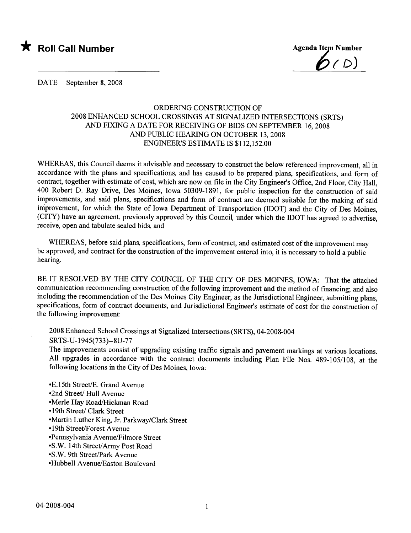



DATE September 8, 2008

## ORDERING CONSTRUCTION OF 2008 ENHANCED SCHOOL CROSSINGS AT SIGNALIZED INTERSECTIONS (SRTS) AND FIXING A DATE FOR RECEIVING OF BIDS ON SEPTEMBER 16,2008 AND PUBLIC HEARING ON OCTOBER 13, 2008 ENGINEER'S ESTIMATE IS \$112,152.00

WHEREAS, this Council deems it advisable and necessary to construct the below referenced improvement, all in accordance with the plans and specifications, and has caused to be prepared plans, specifications, and form of contract, together with estimate of cost, which are now on fie in the City Engineer's Office, 2nd Floor, City Hall, 400 Robert D. Ray Drive, Des Moines, Iowa 50309-1891, for public inspection for the construction of said improvements, and said plans, specifications and form of contract are deemed suitable for the making of said improvement, for which the State of Iowa Department of Transportation (IDOT) and the City of Des Moines, (CITY) have an agreement, previously approved by this Council, under which the IDOT has agreed to advertise, receive, open and tabulate sealed bids, and

WHEREAS, before said plans, specifications, form of contract, and estimated cost of the improvement may be approved, and contract for the construction of the improvement entered into, it is necessary to hold a public hearing.

BE IT RESOLVED BY THE CITY COUNCIL OF THE CITY OF DES MOINES, IOWA: That the attached communication recommending construction of the following improvement and the method of financing; and also including the recommendation of the Des Moines City Engineer, as the Jurisdictional Engineer, submitting plans, specifications, form of contract documents, and Jurisdictional Engineer's estimate of cost for the construction of the following improvement:

2008 Enhanced School Crossings at Signalized Intersections (SRTS), 04-2008-004 SRTS-U-1945(733)--8U-77

The improvements consist of upgrading existing traffic signals and pavement markings at various locations. All upgrades in accordance with the contract documents including Plan File Nos. 489-105/108, at the following locations in the City of Des Moines, Iowa:

• E.15th Street/E. Grand Avenue

- •2nd Street/ Hull Avenue
- Merle Hay Road/Hickman Road
- •19th Street/ Clark Street
- .Martin Luther King, Jr. Parkway/Clark Street
- 19th Street/Forest Avenue
- .Pennsylvania Avenue/Filmore Street
- •S.W. 14th Street/Army Post Road
- .S.W. 9th Street/ark Avenue
- •Hubbell Avenue/Easton Boulevard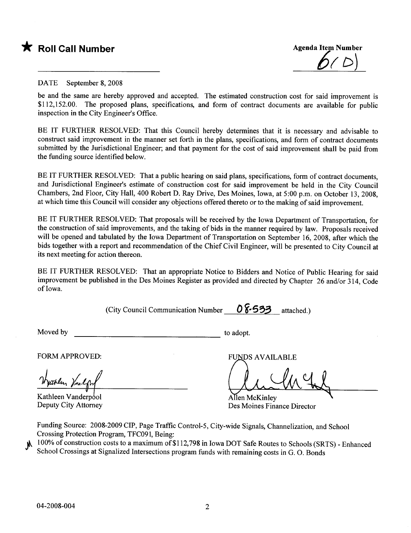



## DATE September 8, 2008

be and the same are hereby approved and accepted. The estimated construction cost for said improvement is \$112,152.00. The proposed plans, specifications, and form of contract documents are available for public inspection in the City Engineer's Office.

BE IT FURTHER RESOLVED: That this Council hereby determines that it is necessary and advisable to construct said improvement in the manner set forth in the plans, specifications, and form of contract documents submitted by the Jurisdictional Engineer; and that payment for the cost of said improvement shall be paid from the funding source identified below.

BE IT FURTHER RESOLVED: That a public hearing on said plans, specifications, form of contract documents, and Jurisdictional Engineer's estimate of construction cost for said improvement be held in the City Council Chambers, 2nd Floor, City Hall, 400 Robert D. Ray Drive, Des Moines, Iowa, at 5:00 p.m. on October 13,2008, at which time this Council will consider any objections offered thereto or to the making of said improvement.

BE IT FURTHER RESOLVED: That proposals will be received by the Iowa Department of Transportation, for the construction of said improvements, and the taking of bids in the manner required by law. Proposals received will be opened and tabulated by the Iowa Department of Transportation on September 16, 2008, after which the bids together with a report and recommendation of the Chief Civil Engineer, will be presented to City Council at its next meeting for action thereon.

BE IT FURTHER RESOLVED: That an appropriate Notice to Bidders and Notice of Public Hearing for said improvement be published in the Des Moines Register as provided and directed by Chapter 26 and/or 314, Code of Iowa.

(City Council Communication Number  $0$   $\frac{\sqrt{553}}{3}$  attached.)

Moved by to adopt.

FORM APPROVED:

Wyuthlu, Yn legh<br>Kathleen Vanderpool<br>Deputy City Attorney

**FUNDS AVAILABLE** 

Allen McKinley Des Moines Finance Director

Funding Source: 2008-2009 CIP, Page Traffic Control-5, City-wide Signals, Channelization, and School

Crossing Protection Program, TFC091, Being:<br>100% of construction costs to a maximum of \$112,798 in Iowa DOT Safe Routes to Schools (SRTS) - Enhanced School Crossings at Signalized Intersections program funds with remaining costs in G. O. Bonds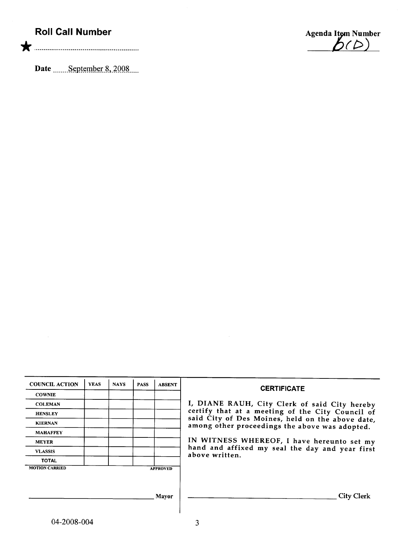## Roll Call Number

\* .00.....00..... .... n. nnnn...... ......000000000000

Date \_\_\_\_\_\_September 8, 2008



| <b>COUNCIL ACTION</b> | <b>YEAS</b> | <b>NAYS</b> | <b>PASS</b> | <b>ABSENT</b>   | <b>CERTIFICATE</b>                                                                                 |
|-----------------------|-------------|-------------|-------------|-----------------|----------------------------------------------------------------------------------------------------|
| <b>COWNIE</b>         |             |             |             |                 |                                                                                                    |
| <b>COLEMAN</b>        |             |             |             |                 | I, DIANE RAUH, City Clerk of said City hereby                                                      |
| <b>HENSLEY</b>        |             |             |             |                 | certify that at a meeting of the City Council of                                                   |
| <b>KIERNAN</b>        |             |             |             |                 | said City of Des Moines, held on the above date,<br>among other proceedings the above was adopted. |
| <b>MAHAFFEY</b>       |             |             |             |                 |                                                                                                    |
| <b>MEYER</b>          |             |             |             |                 | IN WITNESS WHEREOF, I have hereunto set my                                                         |
| <b>VLASSIS</b>        |             |             |             |                 | hand and affixed my seal the day and year first<br>above written.                                  |
| <b>TOTAL</b>          |             |             |             |                 |                                                                                                    |
| <b>MOTION CARRIED</b> |             |             |             | <b>APPROVED</b> |                                                                                                    |
|                       |             |             |             |                 |                                                                                                    |
|                       |             |             |             |                 |                                                                                                    |
|                       |             |             |             | Mayor           | <b>City Clerk</b>                                                                                  |
|                       |             |             |             |                 |                                                                                                    |

 $\sim 10^6$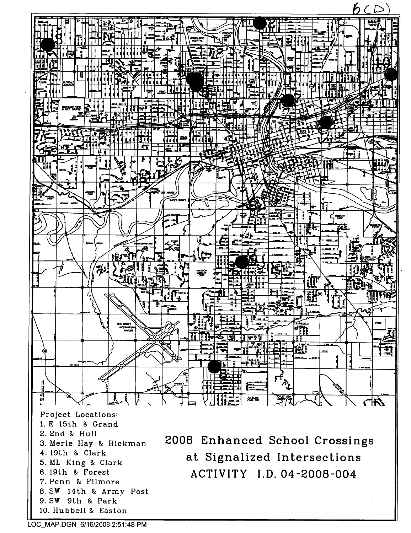